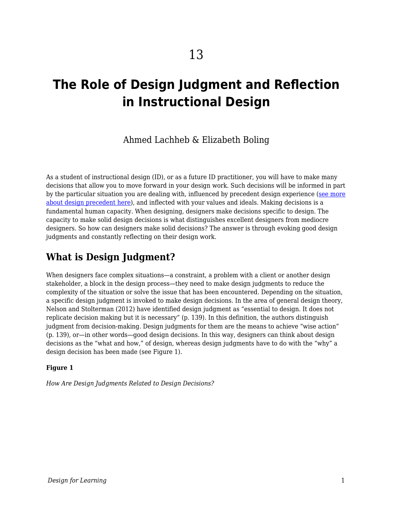# **The Role of Design Judgment and Reflection in Instructional Design**

Ahmed Lachheb & Elizabeth Boling

As a student of instructional design (ID), or as a future ID practitioner, you will have to make many decisions that allow you to move forward in your design work. Such decisions will be informed in part by the particular situation you are dealing with, influenced by precedent design experience ([see more](https://edtechbooks.org/id/precedent) [about design precedent here\)](https://edtechbooks.org/id/precedent), and inflected with your values and ideals. Making decisions is a fundamental human capacity. When designing, designers make decisions specific to design. The capacity to make solid design decisions is what distinguishes excellent designers from mediocre designers. So how can designers make solid decisions? The answer is through evoking good design judgments and constantly reflecting on their design work.

# **What is Design Judgment?**

When designers face complex situations—a constraint, a problem with a client or another design stakeholder, a block in the design process—they need to make design judgments to reduce the complexity of the situation or solve the issue that has been encountered. Depending on the situation, a specific design judgment is invoked to make design decisions. In the area of general design theory, Nelson and Stolterman (2012) have identified design judgment as "essential to design. It does not replicate decision making but it is necessary" (p. 139). In this definition, the authors distinguish judgment from decision-making. Design judgments for them are the means to achieve "wise action" (p. 139), or—in other words—good design decisions. In this way, designers can think about design decisions as the "what and how," of design, whereas design judgments have to do with the "why" a design decision has been made (see Figure 1).

#### **Figure 1**

*How Are Design Judgments Related to Design Decisions?*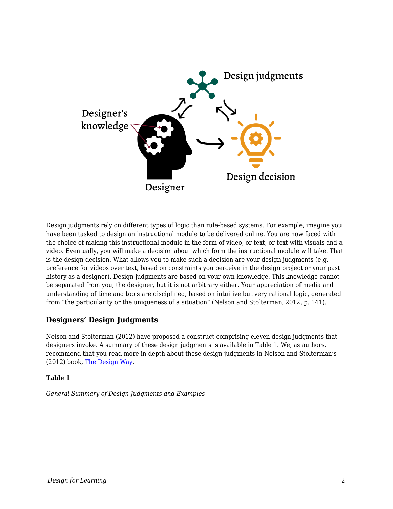

Design judgments rely on different types of logic than rule-based systems. For example, imagine you have been tasked to design an instructional module to be delivered online. You are now faced with the choice of making this instructional module in the form of video, or text, or text with visuals and a video. Eventually, you will make a decision about which form the instructional module will take. That is the design decision. What allows you to make such a decision are your design judgments (e.g. preference for videos over text, based on constraints you perceive in the design project or your past history as a designer). Design judgments are based on your own knowledge. This knowledge cannot be separated from you, the designer, but it is not arbitrary either. Your appreciation of media and understanding of time and tools are disciplined, based on intuitive but very rational logic, generated from "the particularity or the uniqueness of a situation" (Nelson and Stolterman, 2012, p. 141).

### **Designers' Design Judgments**

Nelson and Stolterman (2012) have proposed a construct comprising eleven design judgments that designers invoke. A summary of these design judgments is available in Table 1. We, as authors, recommend that you read more in-depth about these design judgments in Nelson and Stolterman's (2012) book, [The Design Way.](https://mitpress.mit.edu/books/design-way-second-edition)

#### **Table 1**

*General Summary of Design Judgments and Examples*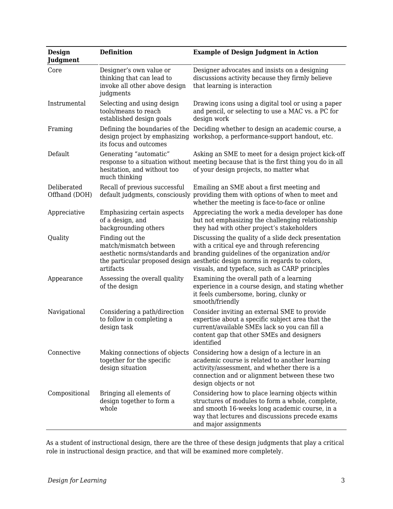| <b>Design</b><br>Judgment    | <b>Definition</b>                                                                                  | <b>Example of Design Judgment in Action</b>                                                                                                                                                                                                                                           |
|------------------------------|----------------------------------------------------------------------------------------------------|---------------------------------------------------------------------------------------------------------------------------------------------------------------------------------------------------------------------------------------------------------------------------------------|
| Core                         | Designer's own value or<br>thinking that can lead to<br>invoke all other above design<br>judgments | Designer advocates and insists on a designing<br>discussions activity because they firmly believe<br>that learning is interaction                                                                                                                                                     |
| Instrumental                 | Selecting and using design<br>tools/means to reach<br>established design goals                     | Drawing icons using a digital tool or using a paper<br>and pencil, or selecting to use a MAC vs. a PC for<br>design work                                                                                                                                                              |
| Framing                      | its focus and outcomes                                                                             | Defining the boundaries of the Deciding whether to design an academic course, a<br>design project by emphasizing workshop, a performance-support handout, etc.                                                                                                                        |
| Default                      | Generating "automatic"<br>hesitation, and without too<br>much thinking                             | Asking an SME to meet for a design project kick-off<br>response to a situation without meeting because that is the first thing you do in all<br>of your design projects, no matter what                                                                                               |
| Deliberated<br>Offhand (DOH) | Recall of previous successful<br>default judgments, consciously                                    | Emailing an SME about a first meeting and<br>providing them with options of when to meet and<br>whether the meeting is face-to-face or online                                                                                                                                         |
| Appreciative                 | Emphasizing certain aspects<br>of a design, and<br>backgrounding others                            | Appreciating the work a media developer has done<br>but not emphasizing the challenging relationship<br>they had with other project's stakeholders                                                                                                                                    |
| Quality                      | Finding out the<br>match/mismatch between<br>aesthetic norms/standards and<br>artifacts            | Discussing the quality of a slide deck presentation<br>with a critical eye and through referencing<br>branding guidelines of the organization and/or<br>the particular proposed design aesthetic design norms in regards to colors,<br>visuals, and typeface, such as CARP principles |
| Appearance                   | Assessing the overall quality<br>of the design                                                     | Examining the overall path of a learning<br>experience in a course design, and stating whether<br>it feels cumbersome, boring, clunky or<br>smooth/friendly                                                                                                                           |
| Navigational                 | Considering a path/direction<br>to follow in completing a<br>design task                           | Consider inviting an external SME to provide<br>expertise about a specific subject area that the<br>current/available SMEs lack so you can fill a<br>content gap that other SMEs and designers<br>identified                                                                          |
| Connective                   | Making connections of objects<br>together for the specific<br>design situation                     | Considering how a design of a lecture in an<br>academic course is related to another learning<br>activity/assessment, and whether there is a<br>connection and or alignment between these two<br>design objects or not                                                                |
| Compositional                | Bringing all elements of<br>design together to form a<br>whole                                     | Considering how to place learning objects within<br>structures of modules to form a whole, complete,<br>and smooth 16-weeks long academic course, in a<br>way that lectures and discussions precede exams<br>and major assignments                                                    |

As a student of instructional design, there are the three of these design judgments that play a critical role in instructional design practice, and that will be examined more completely.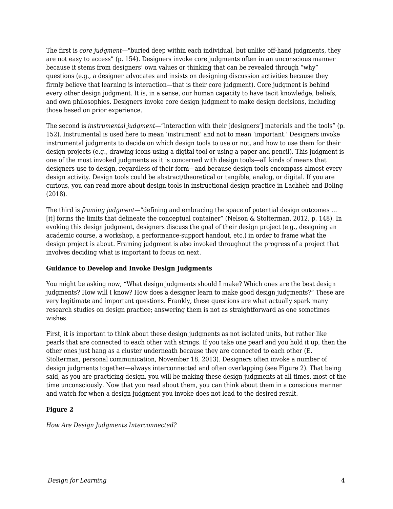The first is *core judgment*—"buried deep within each individual, but unlike off-hand judgments, they are not easy to access" (p. 154). Designers invoke core judgments often in an unconscious manner because it stems from designers' own values or thinking that can be revealed through "why" questions (e.g., a designer advocates and insists on designing discussion activities because they firmly believe that learning is interaction—that is their core judgment). Core judgment is behind every other design judgment. It is, in a sense, our human capacity to have tacit knowledge, beliefs, and own philosophies. Designers invoke core design judgment to make design decisions, including those based on prior experience.

The second is *instrumental judgment*—"interaction with their [designers'] materials and the tools" (p. 152). Instrumental is used here to mean 'instrument' and not to mean 'important.' Designers invoke instrumental judgments to decide on which design tools to use or not, and how to use them for their design projects (e.g., drawing icons using a digital tool or using a paper and pencil). This judgment is one of the most invoked judgments as it is concerned with design tools—all kinds of means that designers use to design, regardless of their form—and because design tools encompass almost every design activity. Design tools could be abstract/theoretical or tangible, analog, or digital. If you are curious, you can read more about design tools in instructional design practice in Lachheb and Boling (2018).

The third is *framing judgment*—"defining and embracing the space of potential design outcomes … [it] forms the limits that delineate the conceptual container" (Nelson & Stolterman, 2012, p. 148). In evoking this design judgment, designers discuss the goal of their design project (e.g., designing an academic course, a workshop, a performance-support handout, etc.) in order to frame what the design project is about. Framing judgment is also invoked throughout the progress of a project that involves deciding what is important to focus on next.

#### **Guidance to Develop and Invoke Design Judgments**

You might be asking now, "What design judgments should I make? Which ones are the best design judgments? How will I know? How does a designer learn to make good design judgments?" These are very legitimate and important questions. Frankly, these questions are what actually spark many research studies on design practice; answering them is not as straightforward as one sometimes wishes.

First, it is important to think about these design judgments as not isolated units, but rather like pearls that are connected to each other with strings. If you take one pearl and you hold it up, then the other ones just hang as a cluster underneath because they are connected to each other (E. Stolterman, personal communication, November 18, 2013). Designers often invoke a number of design judgments together—always interconnected and often overlapping (see Figure 2). That being said, as you are practicing design, you will be making these design judgments at all times, most of the time unconsciously. Now that you read about them, you can think about them in a conscious manner and watch for when a design judgment you invoke does not lead to the desired result.

#### **Figure 2**

*How Are Design Judgments Interconnected?*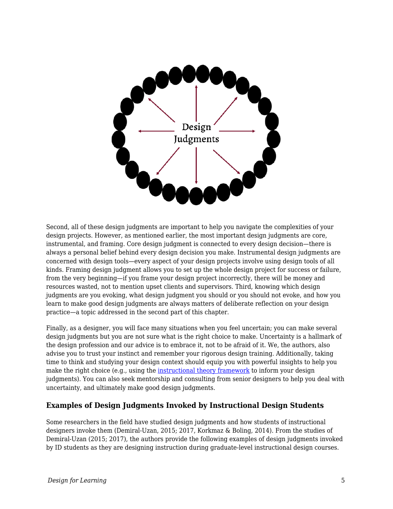

Second, all of these design judgments are important to help you navigate the complexities of your design projects. However, as mentioned earlier, the most important design judgments are core, instrumental, and framing. Core design judgment is connected to every design decision—there is always a personal belief behind every design decision you make. Instrumental design judgments are concerned with design tools—every aspect of your design projects involve using design tools of all kinds. Framing design judgment allows you to set up the whole design project for success or failure, from the very beginning—if you frame your design project incorrectly, there will be money and resources wasted, not to mention upset clients and supervisors. Third, knowing which design judgments are you evoking, what design judgment you should or you should not evoke, and how you learn to make good design judgments are always matters of deliberate reflection on your design practice—a topic addressed in the second part of this chapter.

Finally, as a designer, you will face many situations when you feel uncertain; you can make several design judgments but you are not sure what is the right choice to make. Uncertainty is a hallmark of the design profession and our advice is to embrace it, not to be afraid of it. We, the authors, also advise you to trust your instinct and remember your rigorous design training. Additionally, taking time to think and studying your design context should equip you with powerful insights to help you make the right choice (e.g., using the [instructional theory framework](https://edtechbooks.org/id/making_good_design) to inform your design judgments). You can also seek mentorship and consulting from senior designers to help you deal with uncertainty, and ultimately make good design judgments.

#### **Examples of Design Judgments Invoked by Instructional Design Students**

Some researchers in the field have studied design judgments and how students of instructional designers invoke them (Demiral‐Uzan, 2015; 2017, Korkmaz & Boling, 2014). From the studies of Demiral‐Uzan (2015; 2017), the authors provide the following examples of design judgments invoked by ID students as they are designing instruction during graduate-level instructional design courses.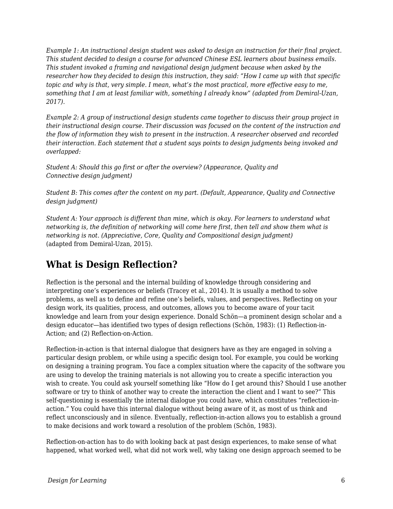*Example 1: An instructional design student was asked to design an instruction for their final project. This student decided to design a course for advanced Chinese ESL learners about business emails. This student invoked a framing and navigational design judgment because when asked by the researcher how they decided to design this instruction, they said: "How I came up with that specific topic and why is that, very simple. I mean, what's the most practical, more effective easy to me, something that I am at least familiar with, something I already know" (adapted from Demiral-Uzan, 2017).*

*Example 2: A group of instructional design students came together to discuss their group project in their instructional design course. Their discussion was focused on the content of the instruction and the flow of information they wish to present in the instruction. A researcher observed and recorded their interaction. Each statement that a student says points to design judgments being invoked and overlapped:*

*Student A: Should this go first or after the overview? (Appearance, Quality and Connective design judgment)*

*Student B: This comes after the content on my part. (Default, Appearance, Quality and Connective design judgment)*

*Student A: Your approach is different than mine, which is okay. For learners to understand what networking is, the definition of networking will come here first, then tell and show them what is networking is not. (Appreciative, Core, Quality and Compositional design judgment)* (adapted from Demiral-Uzan, 2015).

# **What is Design Reflection?**

Reflection is the personal and the internal building of knowledge through considering and interpreting one's experiences or beliefs (Tracey et al., 2014). It is usually a method to solve problems, as well as to define and refine one's beliefs, values, and perspectives. Reflecting on your design work, its qualities, process, and outcomes, allows you to become aware of your tacit knowledge and learn from your design experience. Donald Schön—a prominent design scholar and a design educator—has identified two types of design reflections (Schön, 1983): (1) Reflection-in-Action; and (2) Reflection-on-Action.

Reflection-in-action is that internal dialogue that designers have as they are engaged in solving a particular design problem, or while using a specific design tool. For example, you could be working on designing a training program. You face a complex situation where the capacity of the software you are using to develop the training materials is not allowing you to create a specific interaction you wish to create. You could ask yourself something like "How do I get around this? Should I use another software or try to think of another way to create the interaction the client and I want to see?" This self-questioning is essentially the internal dialogue you could have, which constitutes "reflection-inaction." You could have this internal dialogue without being aware of it, as most of us think and reflect unconsciously and in silence. Eventually, reflection-in-action allows you to establish a ground to make decisions and work toward a resolution of the problem (Schön, 1983).

Reflection-on-action has to do with looking back at past design experiences, to make sense of what happened, what worked well, what did not work well, why taking one design approach seemed to be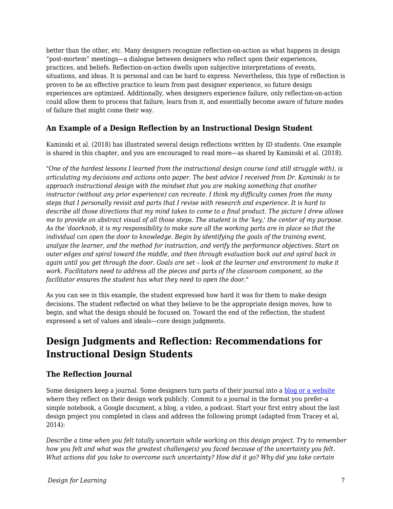better than the other, etc. Many designers recognize reflection-on-action as what happens in design "post-mortem" meetings—a dialogue between designers who reflect upon their experiences, practices, and beliefs. Reflection-on-action dwells upon subjective interpretations of events, situations, and ideas. It is personal and can be hard to express. Nevertheless, this type of reflection is proven to be an effective practice to learn from past designer experience, so future design experiences are optimized. Additionally, when designers experience failure, only reflection-on-action could allow them to process that failure, learn from it, and essentially become aware of future modes of failure that might come their way.

### **An Example of a Design Reflection by an Instructional Design Student**

Kaminski et al. (2018) has illustrated several design reflections written by ID students. One example is shared in this chapter, and you are encouraged to read more—as shared by Kaminski et al. (2018).

*"One of the hardest lessons I learned from the instructional design course (and still struggle with), is articulating my decisions and actions onto paper. The best advice I received from Dr. Kaminski is to approach instructional design with the mindset that you are making something that another instructor (without any prior experience) can recreate. I think my difficulty comes from the many steps that I personally revisit and parts that I revise with research and experience. It is hard to describe all those directions that my mind takes to come to a final product. The picture I drew allows me to provide an abstract visual of all those steps. The student is the 'key,' the center of my purpose. As the 'doorknob, it is my responsibility to make sure all the working parts are in place so that the individual can open the door to knowledge. Begin by identifying the goals of the training event, analyze the learner, and the method for instruction, and verify the performance objectives. Start on outer edges and spiral toward the middle, and then through evaluation back out and spiral back in again until you get through the door. Goals are set – look at the learner and environment to make it work. Facilitators need to address all the pieces and parts of the classroom component, so the facilitator ensures the student has what they need to open the door."*

As you can see in this example, the student expressed how hard it was for them to make design decisions. The student reflected on what they believe to be the appropriate design moves, how to begin, and what the design should be focused on. Toward the end of the reflection, the student expressed a set of values and ideals—core design judgments.

# **Design Judgments and Reflection: Recommendations for Instructional Design Students**

### **The Reflection Journal**

Some designers keep a journal. Some designers turn parts of their journal into a [blog or a website](https://www.lifeofanarchitect.com/) where they reflect on their design work publicly. Commit to a journal in the format you prefer–a simple notebook, a Google document, a blog, a video, a podcast. Start your first entry about the last design project you completed in class and address the following prompt (adapted from Tracey et al, 2014):

*Describe a time when you felt totally uncertain while working on this design project. Try to remember how you felt and what was the greatest challenge(s) you faced because of the uncertainty you felt. What actions did you take to overcome such uncertainty? How did it go? Why did you take certain*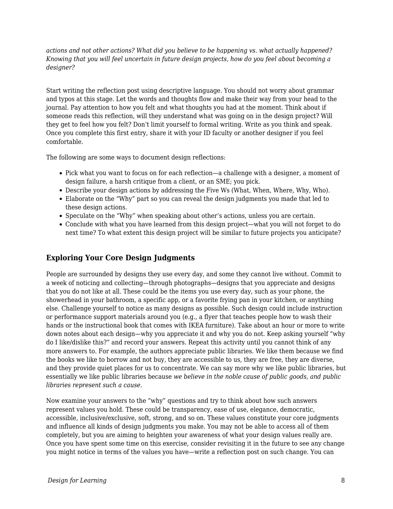*actions and not other actions? What did you believe to be happening vs. what actually happened? Knowing that you will feel uncertain in future design projects, how do you feel about becoming a designer?*

Start writing the reflection post using descriptive language. You should not worry about grammar and typos at this stage. Let the words and thoughts flow and make their way from your head to the journal. Pay attention to how you felt and what thoughts you had at the moment. Think about if someone reads this reflection, will they understand what was going on in the design project? Will they get to feel how you felt? Don't limit yourself to formal writing. Write as you think and speak. Once you complete this first entry, share it with your ID faculty or another designer if you feel comfortable.

The following are some ways to document design reflections:

- Pick what you want to focus on for each reflection—a challenge with a designer, a moment of design failure, a harsh critique from a client, or an SME; you pick.
- Describe your design actions by addressing the Five Ws (What, When, Where, Why, Who).
- Elaborate on the "Why" part so you can reveal the design judgments you made that led to these design actions.
- Speculate on the "Why" when speaking about other's actions, unless you are certain.
- Conclude with what you have learned from this design project—what you will not forget to do next time? To what extent this design project will be similar to future projects you anticipate?

### **Exploring Your Core Design Judgments**

People are surrounded by designs they use every day, and some they cannot live without. Commit to a week of noticing and collecting—through photographs—designs that you appreciate and designs that you do not like at all. These could be the items you use every day, such as your phone, the showerhead in your bathroom, a specific app, or a favorite frying pan in your kitchen, or anything else. Challenge yourself to notice as many designs as possible. Such design could include instruction or performance support materials around you (e.g., a flyer that teaches people how to wash their hands or the instructional book that comes with IKEA furniture). Take about an hour or more to write down notes about each design—why you appreciate it and why you do not. Keep asking yourself "why do I like/dislike this?" and record your answers. Repeat this activity until you cannot think of any more answers to. For example, the authors appreciate public libraries. We like them because we find the books we like to borrow and not buy, they are accessible to us, they are free, they are diverse, and they provide quiet places for us to concentrate. We can say more why we like public libraries, but essentially we like public libraries because *we believe in the noble cause of public goods, and public libraries represent such a cause*.

Now examine your answers to the "why" questions and try to think about how such answers represent values you hold. These could be transparency, ease of use, elegance, democratic, accessible, inclusive/exclusive, soft, strong, and so on. These values constitute your core judgments and influence all kinds of design judgments you make. You may not be able to access all of them completely, but you are aiming to heighten your awareness of what your design values really are. Once you have spent some time on this exercise, consider revisiting it in the future to see any change you might notice in terms of the values you have—write a reflection post on such change. You can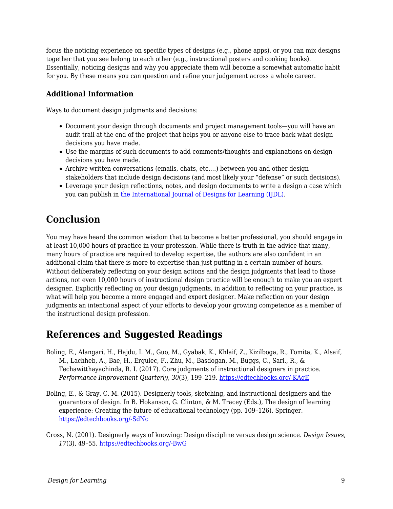focus the noticing experience on specific types of designs (e.g., phone apps), or you can mix designs together that you see belong to each other (e.g., instructional posters and cooking books). Essentially, noticing designs and why you appreciate them will become a somewhat automatic habit for you. By these means you can question and refine your judgement across a whole career.

### **Additional Information**

Ways to document design judgments and decisions:

- Document your design through documents and project management tools—you will have an audit trail at the end of the project that helps you or anyone else to trace back what design decisions you have made.
- Use the margins of such documents to add comments/thoughts and explanations on design decisions you have made.
- Archive written conversations (emails, chats, etc.…) between you and other design stakeholders that include design decisions (and most likely your "defense" or such decisions).
- Leverage your design reflections, notes, and design documents to write a design a case which you can publish in [the International Journal of Designs for Learning \(IJDL\)](https://scholarworks.iu.edu/journals/index.php/ijdl/index).

# **Conclusion**

You may have heard the common wisdom that to become a better professional, you should engage in at least 10,000 hours of practice in your profession. While there is truth in the advice that many, many hours of practice are required to develop expertise, the authors are also confident in an additional claim that there is more to expertise than just putting in a certain number of hours. Without deliberately reflecting on your design actions and the design judgments that lead to those actions, not even 10,000 hours of instructional design practice will be enough to make you an expert designer. Explicitly reflecting on your design judgments, in addition to reflecting on your practice, is what will help you become a more engaged and expert designer. Make reflection on your design judgments an intentional aspect of your efforts to develop your growing competence as a member of the instructional design profession.

## **References and Suggested Readings**

- Boling, E., Alangari, H., Hajdu, I. M., Guo, M., Gyabak, K., Khlaif, Z., Kizilboga, R., Tomita, K., Alsaif, M., Lachheb, A., Bae, H., Ergulec, F., Zhu, M., Basdogan, M., Buggs, C., Sari., R., & Techawitthayachinda, R. I. (2017). Core judgments of instructional designers in practice. *Performance Improvement Quarterly*, *30*(3), 199–219. [https://edtechbooks.org/-KAqE](https://doi.org/10.1002/piq.21250)
- Boling, E., & Gray, C. M. (2015). Designerly tools, sketching, and instructional designers and the guarantors of design. In B. Hokanson, G. Clinton, & M. Tracey (Eds.), The design of learning experience: Creating the future of educational technology (pp. 109–126). Springer. [https://edtechbooks.org/-SdNc](https://doi.org/10.1007/978-3-319-16504-2)
- Cross, N. (2001). Designerly ways of knowing: Design discipline versus design science. *Design Issues*, *17*(3), 49–55. [https://edtechbooks.org/-BwG](https://doi.org/10.1162/074793601750357196)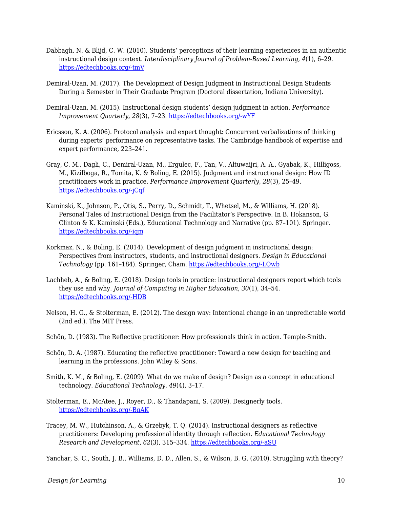- Dabbagh, N. & Blijd, C. W. (2010). Students' perceptions of their learning experiences in an authentic instructional design context. *Interdisciplinary Journal of Problem-Based Learning*, *4*(1), 6–29. [https://edtechbooks.org/-tmV](https://doi.org/10.7771/1541-5015.1092)
- Demiral-Uzan, M. (2017). The Development of Design Judgment in Instructional Design Students During a Semester in Their Graduate Program (Doctoral dissertation, Indiana University).
- Demiral‐Uzan, M. (2015). Instructional design students' design judgment in action. *Performance Improvement Quarterly*, *28*(3), 7–23. [https://edtechbooks.org/-wYF](https://doi.org/10.1002/piq.21195)
- Ericsson, K. A. (2006). Protocol analysis and expert thought: Concurrent verbalizations of thinking during experts' performance on representative tasks. The Cambridge handbook of expertise and expert performance, 223–241.
- Gray, C. M., Dagli, C., Demiral‐Uzan, M., Ergulec, F., Tan, V., Altuwaijri, A. A., Gyabak, K., Hilligoss, M., Kizilboga, R., Tomita, K. & Boling, E. (2015). Judgment and instructional design: How ID practitioners work in practice. *Performance Improvement Quarterly*, *28*(3), 25–49. [https://edtechbooks.org/-jCqf](https://doi.org/10.1002/piq.21198)
- Kaminski, K., Johnson, P., Otis, S., Perry, D., Schmidt, T., Whetsel, M., & Williams, H. (2018). Personal Tales of Instructional Design from the Facilitator's Perspective. In B. Hokanson, G. Clinton & K. Kaminski (Eds.), Educational Technology and Narrative (pp. 87–101). Springer. [https://edtechbooks.org/-iqm](https://doi.org/10.1007/978-3-319-69914-1)
- Korkmaz, N., & Boling, E. (2014). Development of design judgment in instructional design: Perspectives from instructors, students, and instructional designers. *Design in Educational Technology* (pp. 161–184). Springer, Cham. [https://edtechbooks.org/-LQwb](https://doi.org/10.1007/978-3-319-00927-8_10)
- Lachheb, A., & Boling, E. (2018). Design tools in practice: instructional designers report which tools they use and why. *Journal of Computing in Higher Education*, *30*(1), 34–54. [https://edtechbooks.org/-HDB](https://doi.org/10.1007/s12528-017-9165-x)
- Nelson, H. G., & Stolterman, E. (2012). The design way: Intentional change in an unpredictable world (2nd ed.). The MIT Press.
- Schön, D. (1983). The Reflective practitioner: How professionals think in action. Temple-Smith.
- Schön, D. A. (1987). Educating the reflective practitioner: Toward a new design for teaching and learning in the professions. John Wiley & Sons.
- Smith, K. M., & Boling, E. (2009). What do we make of design? Design as a concept in educational technology. *Educational Technology*, *49*(4), 3–17.
- Stolterman, E., McAtee, J., Royer, D., & Thandapani, S. (2009). Designerly tools. [https://edtechbooks.org/-BqAK](http://shura.shu.ac.uk/id/eprint/491)
- Tracey, M. W., Hutchinson, A., & Grzebyk, T. Q. (2014). Instructional designers as reflective practitioners: Developing professional identity through reflection. *Educational Technology Research and Development*, *62*(3), 315–334. [https://edtechbooks.org/-aSU](https://doi.org/10.1007/s11423-014-9334-9)

Yanchar, S. C., South, J. B., Williams, D. D., Allen, S., & Wilson, B. G. (2010). Struggling with theory?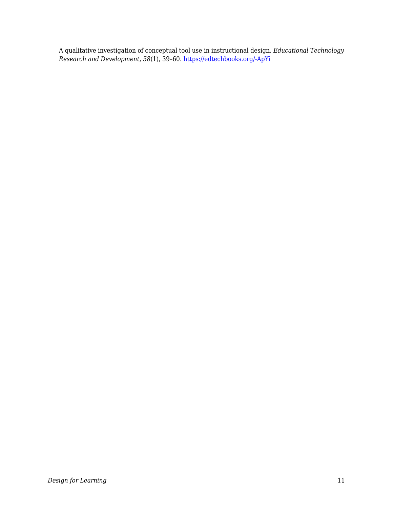A qualitative investigation of conceptual tool use in instructional design. *Educational Technology Research and Development*, *58*(1), 39–60. [https://edtechbooks.org/-ApYi](https://doi.org/10.1007/s11423-009-9129-6)